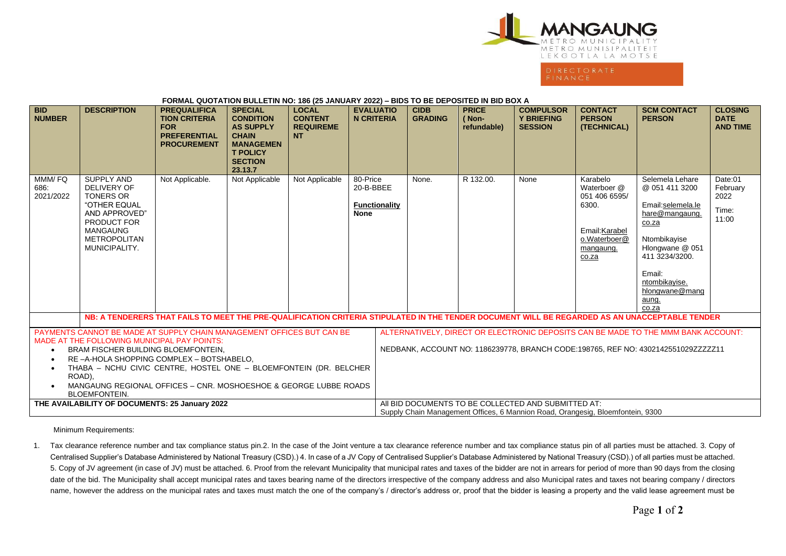

| <b>FUNNIAL QUUTATION BULLETIN NU. 100 (23 JANUANT 2022) - BIDS TO BE DEFUSITED IN BID BUX A</b>                                                                                                                                                                                                                                                                                    |                                                                                                                                                                 |                                                                                                        |                                                                                                                                            |                                                                 |                                                       |                                                                                                                                                                        |                                      |                                                         |                                                                                                           |                                                                                                                                                                                                       |                                                  |
|------------------------------------------------------------------------------------------------------------------------------------------------------------------------------------------------------------------------------------------------------------------------------------------------------------------------------------------------------------------------------------|-----------------------------------------------------------------------------------------------------------------------------------------------------------------|--------------------------------------------------------------------------------------------------------|--------------------------------------------------------------------------------------------------------------------------------------------|-----------------------------------------------------------------|-------------------------------------------------------|------------------------------------------------------------------------------------------------------------------------------------------------------------------------|--------------------------------------|---------------------------------------------------------|-----------------------------------------------------------------------------------------------------------|-------------------------------------------------------------------------------------------------------------------------------------------------------------------------------------------------------|--------------------------------------------------|
| <b>BID</b><br><b>NUMBER</b>                                                                                                                                                                                                                                                                                                                                                        | <b>DESCRIPTION</b>                                                                                                                                              | <b>PREQUALIFICA</b><br><b>TION CRITERIA</b><br><b>FOR</b><br><b>PREFERENTIAL</b><br><b>PROCUREMENT</b> | <b>SPECIAL</b><br><b>CONDITION</b><br><b>AS SUPPLY</b><br><b>CHAIN</b><br><b>MANAGEMEN</b><br><b>T POLICY</b><br><b>SECTION</b><br>23.13.7 | <b>LOCAL</b><br><b>CONTENT</b><br><b>REQUIREME</b><br><b>NT</b> | <b>EVALUATIO</b><br><b>N CRITERIA</b>                 | <b>CIDB</b><br><b>GRADING</b>                                                                                                                                          | <b>PRICE</b><br>(Non-<br>refundable) | <b>COMPULSOR</b><br><b>Y BRIEFING</b><br><b>SESSION</b> | <b>CONTACT</b><br><b>PERSON</b><br>(TECHNICAL)                                                            | <b>SCM CONTACT</b><br><b>PERSON</b>                                                                                                                                                                   | <b>CLOSING</b><br><b>DATE</b><br><b>AND TIME</b> |
| MMM/FQ<br>686:<br>2021/2022                                                                                                                                                                                                                                                                                                                                                        | <b>SUPPLY AND</b><br>DELIVERY OF<br><b>TONERS OR</b><br>"OTHER EQUAL<br>AND APPROVED"<br>PRODUCT FOR<br><b>MANGAUNG</b><br><b>METROPOLITAN</b><br>MUNICIPALITY. | Not Applicable.                                                                                        | Not Applicable                                                                                                                             | Not Applicable                                                  | 80-Price<br>20-B-BBEE<br>Functionality<br><b>None</b> | None.                                                                                                                                                                  | R 132.00.                            | None                                                    | Karabelo<br>Waterboer @<br>051 406 6595/<br>6300.<br>Email: Karabel<br>o.Waterboer@<br>mangaung.<br>co.za | Selemela Lehare<br>@ 051 411 3200<br>Email:selemela.le<br>hare@mangaung.<br>co.za<br>Ntombikayise<br>Hlongwane @ 051<br>411 3234/3200.<br>Email:<br>ntombikayise.<br>hlongwane@mang<br>aung.<br>co.za | Date:01<br>February<br>2022<br>Time:<br>11:00    |
| NB: A TENDERERS THAT FAILS TO MEET THE PRE-QUALIFICATION CRITERIA STIPULATED IN THE TENDER DOCUMENT WILL BE REGARDED AS AN UNACCEPTABLE TENDER                                                                                                                                                                                                                                     |                                                                                                                                                                 |                                                                                                        |                                                                                                                                            |                                                                 |                                                       |                                                                                                                                                                        |                                      |                                                         |                                                                                                           |                                                                                                                                                                                                       |                                                  |
| PAYMENTS CANNOT BE MADE AT SUPPLY CHAIN MANAGEMENT OFFICES BUT CAN BE<br>MADE AT THE FOLLOWING MUNICIPAL PAY POINTS:<br>BRAM FISCHER BUILDING BLOEMFONTEIN,<br>RE-A-HOLA SHOPPING COMPLEX - BOTSHABELO.<br>THABA - NCHU CIVIC CENTRE, HOSTEL ONE - BLOEMFONTEIN (DR. BELCHER<br>ROAD),<br>MANGAUNG REGIONAL OFFICES - CNR. MOSHOESHOE & GEORGE LUBBE ROADS<br><b>BLOEMFONTEIN.</b> |                                                                                                                                                                 |                                                                                                        |                                                                                                                                            |                                                                 |                                                       | ALTERNATIVELY, DIRECT OR ELECTRONIC DEPOSITS CAN BE MADE TO THE MMM BANK ACCOUNT:<br>NEDBANK, ACCOUNT NO: 1186239778, BRANCH CODE:198765, REF NO: 4302142551029ZZZZZ11 |                                      |                                                         |                                                                                                           |                                                                                                                                                                                                       |                                                  |
| THE AVAILABILITY OF DOCUMENTS: 25 January 2022                                                                                                                                                                                                                                                                                                                                     |                                                                                                                                                                 |                                                                                                        |                                                                                                                                            |                                                                 |                                                       | AII BID DOCUMENTS TO BE COLLECTED AND SUBMITTED AT:<br>Supply Chain Management Offices, 6 Mannion Road, Orangesig, Bloemfontein, 9300                                  |                                      |                                                         |                                                                                                           |                                                                                                                                                                                                       |                                                  |

**FORMAL QUOTATION BULLETIN NO: 186 (25 JANUARY 2022) – BIDS TO BE DEPOSITED IN BID BOX A**

Minimum Requirements:

1. Tax clearance reference number and tax compliance status pin.2. In the case of the Joint venture a tax clearance reference number and tax compliance status pin of all parties must be attached. 3. Copy of Centralised Supplier's Database Administered by National Treasury (CSD).) 4. In case of a JV Copy of Centralised Supplier's Database Administered by National Treasury (CSD).) of all parties must be attached. 5. Copy of JV agreement (in case of JV) must be attached. 6. Proof from the relevant Municipality that municipal rates and taxes of the bidder are not in arrears for period of more than 90 days from the closing date of the bid. The Municipality shall accept municipal rates and taxes bearing name of the directors irrespective of the company address and also Municipal rates and taxes not bearing company / directors name, however the address on the municipal rates and taxes must match the one of the company's / director's address or, proof that the bidder is leasing a property and the valid lease agreement must be